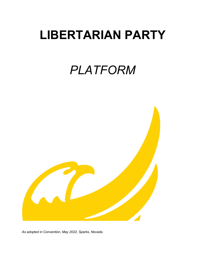# **LIBERTARIAN PARTY**

# *PLATFORM*



*As adopted in Convention, May 2022, Sparks, Nevada.*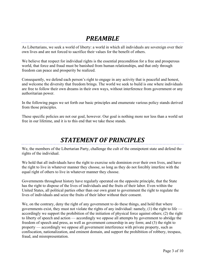# *PREAMBLE*

As Libertarians, we seek a world of liberty: a world in which all individuals are sovereign over their own lives and are not forced to sacrifice their values for the benefit of others.

We believe that respect for individual rights is the essential precondition for a free and prosperous world, that force and fraud must be banished from human relationships, and that only through freedom can peace and prosperity be realized.

Consequently, we defend each person's right to engage in any activity that is peaceful and honest, and welcome the diversity that freedom brings. The world we seek to build is one where individuals are free to follow their own dreams in their own ways, without interference from government or any authoritarian power.

In the following pages we set forth our basic principles and enumerate various policy stands derived from those principles.

These specific policies are not our goal, however. Our goal is nothing more nor less than a world set free in our lifetime, and it is to this end that we take these stands.

# *STATEMENT OF PRINCIPLES*

We, the members of the Libertarian Party, challenge the cult of the omnipotent state and defend the rights of the individual.

We hold that all individuals have the right to exercise sole dominion over their own lives, and have the right to live in whatever manner they choose, so long as they do not forcibly interfere with the equal right of others to live in whatever manner they choose.

Governments throughout history have regularly operated on the opposite principle, that the State has the right to dispose of the lives of individuals and the fruits of their labor. Even within the United States, all political parties other than our own grant to government the right to regulate the lives of individuals and seize the fruits of their labor without their consent.

We, on the contrary, deny the right of any government to do these things, and hold that where governments exist, they must not violate the rights of any individual: namely,  $(1)$  the right to life accordingly we support the prohibition of the initiation of physical force against others; (2) the right to liberty of speech and action — accordingly we oppose all attempts by government to abridge the freedom of speech and press, as well as government censorship in any form; and (3) the right to property — accordingly we oppose all government interference with private property, such as confiscation, nationalization, and eminent domain, and support the prohibition of robbery, trespass, fraud, and misrepresentation.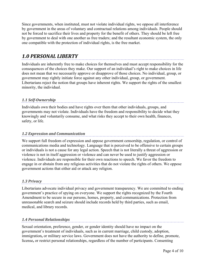Since governments, when instituted, must not violate individual rights, we oppose all interference by government in the areas of voluntary and contractual relations among individuals. People should not be forced to sacrifice their lives and property for the benefit of others. They should be left free by government to deal with one another as free traders; and the resultant economic system, the only one compatible with the protection of individual rights, is the free market.

## *1.0 PERSONAL LIBERTY*

Individuals are inherently free to make choices for themselves and must accept responsibility for the consequences of the choices they make. Our support of an individual's right to make choices in life does not mean that we necessarily approve or disapprove of those choices. No individual, group, or government may rightly initiate force against any other individual, group, or government. Libertarians reject the notion that groups have inherent rights. We support the rights of the smallest minority, the individual.

#### *1.1 Self-Ownership*

Individuals own their bodies and have rights over them that other individuals, groups, and governments may not violate. Individuals have the freedom and responsibility to decide what they knowingly and voluntarily consume, and what risks they accept to their own health, finances, safety, or life.

#### *1.2 Expression and Communication*

We support full freedom of expression and oppose government censorship, regulation, or control of communications media and technology. Language that is perceived to be offensive to certain groups or individuals is not a cause for any legal action. Speech that is not literally a threat of aggression or violence is not in itself aggression or violence and can never be used to justify aggression or violence. Individuals are responsible for their own reactions to speech. We favor the freedom to engage in or abstain from any religious activities that do not violate the rights of others. We oppose government actions that either aid or attack any religion.

#### *1.3 Privacy*

Libertarians advocate individual privacy and government transparency. We are committed to ending government's practice of spying on everyone. We support the rights recognized by the Fourth Amendment to be secure in our persons, homes, property, and communications. Protection from unreasonable search and seizure should include records held by third parties, such as email, medical, and library records.

#### *1.4 Personal Relationships*

Sexual orientation, preference, gender, or gender identity should have no impact on the government's treatment of individuals, such as in current marriage, child custody, adoption, immigration**,** or military service laws. Government does not have the authority to define, promote, license**,** or restrict personal relationships, regardless of the number of participants. Consenting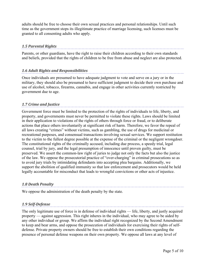adults should be free to choose their own sexual practices and personal relationships. Until such time as the government stops its illegitimate practice of marriage licensing, such licenses must be granted to all consenting adults who apply.

#### *1.5 Parental Rights*

Parents, or other guardians, have the right to raise their children according to their own standards and beliefs, provided that the rights of children to be free from abuse and neglect are also protected.

#### *1.6 Adult Rights and Responsibilities*

Once individuals are presumed to have adequate judgment to vote and serve on a jury or in the military, they should also be presumed to have sufficient judgment to decide their own purchase and use of alcohol, tobacco, firearms, cannabis, and engage in other activities currently restricted by government due to age.

#### *1.7 Crime and Justice*

Government force must be limited to the protection of the rights of individuals to life, liberty, and property, and governments must never be permitted to violate these rights. Laws should be limited in their application to violations of the rights of others through force or fraud, or to deliberate actions that place others involuntarily at significant risk of harm. Therefore, we favor the repeal of all laws creating "crimes" without victims, such as gambling, the use of drugs for medicinal or recreational purposes, and consensual transactions involving sexual services. We support restitution to the victim to the fullest degree possible at the expense of the criminal or the negligent wrongdoer. The constitutional rights of the criminally accused, including due process, a speedy trial, legal counsel, trial by jury, and the legal presumption of innocence until proven guilty, must be preserved. We assert the common-law right of juries to judge not only the facts but also the justice of the law. We oppose the prosecutorial practice of "over-charging" in criminal prosecutions so as to avoid jury trials by intimidating defendants into accepting plea bargains. Additionally, we support the abolition of qualified immunity so that law enforcement and prosecutors would be held legally accountable for misconduct that leads to wrongful convictions or other acts of injustice.

## *1.8 Death Penalty*

We oppose the administration of the death penalty by the state.

#### *1.9 Self-Defense*

The only legitimate use of force is in defense of individual rights — life, liberty, and justly acquired property — against aggression. This right inheres in the individual, who may agree to be aided by any other individual or group. We affirm the individual right recognized by the Second Amendment to keep and bear arms, and oppose the prosecution of individuals for exercising their rights of selfdefense. Private property owners should be free to establish their own conditions regarding the presence of personal defense weapons on their own property. We oppose all laws at any level of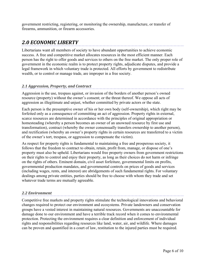government restricting, registering, or monitoring the ownership, manufacture, or transfer of firearms, ammunition, or firearm accessories.

## *2.0 ECONOMIC LIBERTY*

Libertarians want all members of society to have abundant opportunities to achieve economic success. A free and competitive market allocates resources in the most efficient manner. Each person has the right to offer goods and services to others on the free market. The only proper role of government in the economic realm is to protect property rights, adjudicate disputes, and provide a legal framework in which voluntary trade is protected. All efforts by government to redistribute wealth, or to control or manage trade, are improper in a free society.

#### *2.1 Aggression, Property, and Contract*

Aggression is the use, trespass against, or invasion of the borders of another person's owned resource (property) without the owner's consent; or the threat thereof. We oppose all acts of aggression as illegitimate and unjust, whether committed by private actors or the state.

Each person is the presumptive owner of his or her own body (self-ownership), which right may be forfeited only as a consequence of committing an act of aggression. Property rights in external, scarce resources are determined in accordance with the principles of original appropriation or homesteading (whereby a person becomes an owner of an unowned resource by first use and transformation), contract (whereby the owner consensually transfers ownership to another person), and rectification (whereby an owner's property rights in certain resources are transferred to a victim of the owner's tort, trespass, or aggression to compensate the victim).

As respect for property rights is fundamental to maintaining a free and prosperous society, it follows that the freedom to contract to obtain, retain, profit from, manage, or dispose of one's property must also be upheld. Libertarians would free property owners from government restrictions on their rights to control and enjoy their property, as long as their choices do not harm or infringe on the rights of others. Eminent domain, civil asset forfeiture, governmental limits on profits, governmental production mandates, and governmental controls on prices of goods and services (including wages, rents, and interest) are abridgements of such fundamental rights. For voluntary dealings among private entities, parties should be free to choose with whom they trade and set whatever trade terms are mutually agreeable.

#### *2.2 Environment*

Competitive free markets and property rights stimulate the technological innovations and behavioral changes required to protect our environment and ecosystems. Private landowners and conservation groups have a vested interest in maintaining natural resources. Governments are unaccountable for damage done to our environment and have a terrible track record when it comes to environmental protection. Protecting the environment requires a clear definition and enforcement of individual rights and responsibilities regarding resources like land, water, air, and wildlife. Where damages can be proven and quantified in a court of law, restitution to the injured parties must be required.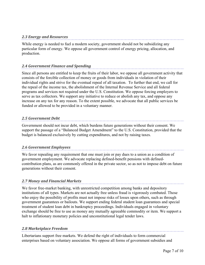While energy is needed to fuel a modern society, government should not be subsidizing any particular form of energy. We oppose all government control of energy pricing, allocation, and production.

#### *2.4 Government Finance and Spending*

Since all persons are entitled to keep the fruits of their labor, we oppose all government activity that consists of the forcible collection of money or goods from individuals in violation of their individual rights and strive for the eventual repeal of all taxation. To further that end, we call for the repeal of the income tax, the abolishment of the Internal Revenue Service and all federal programs and services not required under the U.S. Constitution. We oppose forcing employers to serve as tax collectors. We support any initiative to reduce or abolish any tax, and oppose any increase on any tax for any reason. To the extent possible, we advocate that all public services be funded or allowed to be provided in a voluntary manner.

#### *2.5 Government Debt*

Government should not incur debt, which burdens future generations without their consent. We support the passage of a "Balanced Budget Amendment" to the U.S. Constitution, provided that the budget is balanced exclusively by cutting expenditures, and not by raising taxes.

#### *2.6 Government Employees*

We favor repealing any requirement that one must join or pay dues to a union as a condition of government employment. We advocate replacing defined-benefit pensions with definedcontribution plans, as are commonly offered in the private sector, so as not to impose debt on future generations without their consent.

#### *2.7 Money and Financial Markets*

We favor free-market banking, with unrestricted competition among banks and depository institutions of all types. Markets are not actually free unless fraud is vigorously combated. Those who enjoy the possibility of profits must not impose risks of losses upon others, such as through government guarantees or bailouts. We support ending federal student loan guarantees and special treatment of student loan debt in bankruptcy proceedings. Individuals engaged in voluntary exchange should be free to use as money any mutually agreeable commodity or item. We support a halt to inflationary monetary policies and unconstitutional legal tender laws.

#### *2.8 Marketplace Freedom*

Libertarians support free markets. We defend the right of individuals to form commercial enterprises based on voluntary association. We oppose all forms of government subsidies and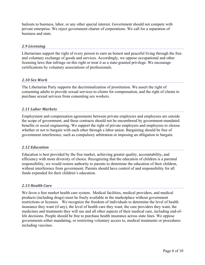bailouts to business, labor, or any other special interest. Government should not compete with private enterprise. We reject government charter of corporations. We call for a separation of business and state.

#### *2.9 Licensing*

Libertarians support the right of every person to earn an honest and peaceful living through the free and voluntary exchange of goods and services. Accordingly, we oppose occupational and other licensing laws that infringe on this right or treat it as a state-granted privilege. We encourage certifications by voluntary associations of professionals.

#### *2.10 Sex Work*

The Libertarian Party supports the decriminalization of prostitution. We assert the right of consenting adults to provide sexual services to clients for compensation, and the right of clients to purchase sexual services from consenting sex workers.

#### *2.11 Labor Markets*

Employment and compensation agreements between private employers and employees are outside the scope of government, and these contracts should not be encumbered by government-mandated benefits or social engineering. We support the right of private employers and employees to choose whether or not to bargain with each other through a labor union. Bargaining should be free of government interference, such as compulsory arbitration or imposing an obligation to bargain.

#### *2.12 Education*

Education is best provided by the free market, achieving greater quality, accountability**,** and efficiency with more diversity of choice. Recognizing that the education of children is a parental responsibility, we would restore authority to parents to determine the education of their children, without interference from government. Parents should have control of and responsibility for all funds expended for their children's education.

#### *2.13 Health Care*

We favor a free market health care system. Medical facilities, medical providers, and medical products (including drugs) must be freely available in the marketplace without government restrictions or licenses. We recognize the freedom of individuals to determine the level of health insurance they want (if any), the level of health care they want, the care providers they want, the medicines and treatments they will use and all other aspects of their medical care, including end-oflife decisions. People should be free to purchase health insurance across state lines. We oppose governments either mandating, or restricting voluntary access to, medical treatments or procedures including vaccines.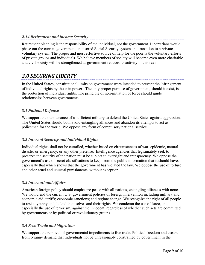Retirement planning is the responsibility of the individual, not the government. Libertarians would phase out the current government-sponsored Social Security system and transition to a private voluntary system. The proper and most effective source of help for the poor is the voluntary efforts of private groups and individuals. We believe members of society will become even more charitable and civil society will be strengthened as government reduces its activity in this realm.

## *3.0 SECURING LIBERTY*

In the United States, constitutional limits on government were intended to prevent the infringement of individual rights by those in power. The only proper purpose of government, should it exist, is the protection of individual rights. The principle of non-initiation of force should guide relationships between governments.

#### *3.1 National Defense*

We support the maintenance of a sufficient military to defend the United States against aggression. The United States should both avoid entangling alliances and abandon its attempts to act as policeman for the world. We oppose any form of compulsory national service.

#### *3.2 Internal Security and Individual Rights*

Individual rights shall not be curtailed, whether based on circumstances of war, epidemic, natural disaster or emergency, or any other pretense. Intelligence agencies that legitimately seek to preserve the security of the nation must be subject to oversight and transparency. We oppose the government's use of secret classifications to keep from the public information that it should have, especially that which shows that the government has violated the law. We oppose the use of torture and other cruel and unusual punishments, without exception.

#### *3.3 International Affairs*

American foreign policy should emphasize peace with all nations, entangling alliances with none. We would end the current U.S. government policies of foreign intervention including military and economic aid; tariffs; economic sanctions; and regime change. We recognize the right of all people to resist tyranny and defend themselves and their rights. We condemn the use of force, and especially the use of terrorism, against the innocent, regardless of whether such acts are committed by governments or by political or revolutionary groups.

#### *3.4 Free Trade and Migration*

We support the removal of governmental impediments to free trade. Political freedom and escape from tyranny demand that individuals not be unreasonably constrained by government in the